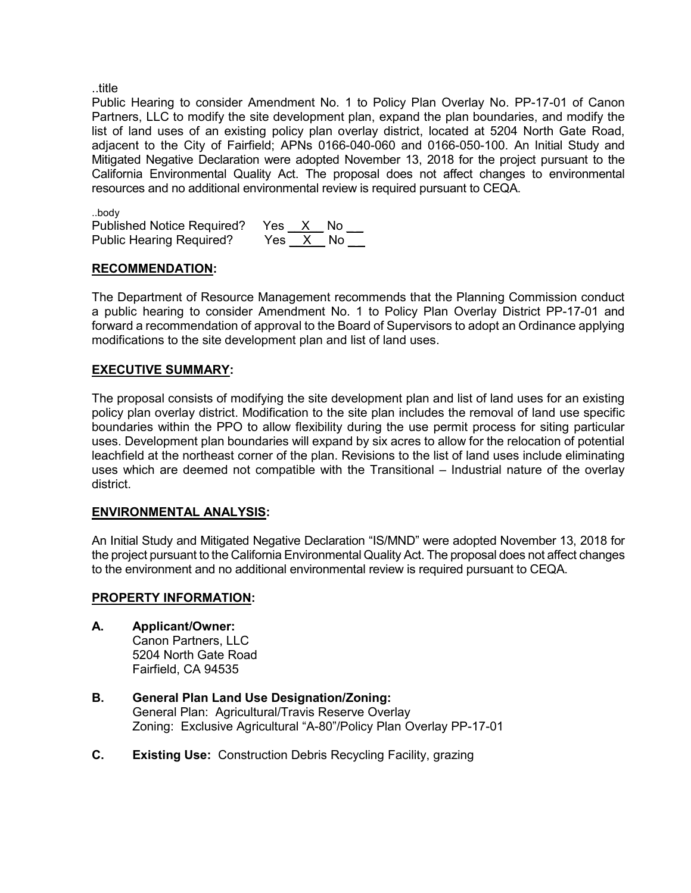..title

Public Hearing to consider Amendment No. 1 to Policy Plan Overlay No. PP-17-01 of Canon Partners, LLC to modify the site development plan, expand the plan boundaries, and modify the list of land uses of an existing policy plan overlay district, located at 5204 North Gate Road, adjacent to the City of Fairfield; APNs 0166-040-060 and 0166-050-100. An Initial Study and Mitigated Negative Declaration were adopted November 13, 2018 for the project pursuant to the California Environmental Quality Act. The proposal does not affect changes to environmental resources and no additional environmental review is required pursuant to CEQA.

..body

| Published Notice Required? Yes X No |          |  |  |
|-------------------------------------|----------|--|--|
| <b>Public Hearing Required?</b>     | Yes X No |  |  |

### **RECOMMENDATION:**

The Department of Resource Management recommends that the Planning Commission conduct a public hearing to consider Amendment No. 1 to Policy Plan Overlay District PP-17-01 and forward a recommendation of approval to the Board of Supervisors to adopt an Ordinance applying modifications to the site development plan and list of land uses.

### **EXECUTIVE SUMMARY:**

The proposal consists of modifying the site development plan and list of land uses for an existing policy plan overlay district. Modification to the site plan includes the removal of land use specific boundaries within the PPO to allow flexibility during the use permit process for siting particular uses. Development plan boundaries will expand by six acres to allow for the relocation of potential leachfield at the northeast corner of the plan. Revisions to the list of land uses include eliminating uses which are deemed not compatible with the Transitional – Industrial nature of the overlay district.

### **ENVIRONMENTAL ANALYSIS:**

An Initial Study and Mitigated Negative Declaration "IS/MND" were adopted November 13, 2018 for the project pursuant to the California Environmental Quality Act. The proposal does not affect changes to the environment and no additional environmental review is required pursuant to CEQA.

### **PROPERTY INFORMATION:**

- **A. Applicant/Owner:** Canon Partners, LLC 5204 North Gate Road Fairfield, CA 94535
- **B. General Plan Land Use Designation/Zoning:** General Plan: Agricultural/Travis Reserve Overlay Zoning: Exclusive Agricultural "A-80"/Policy Plan Overlay PP-17-01
- **C. Existing Use:** Construction Debris Recycling Facility, grazing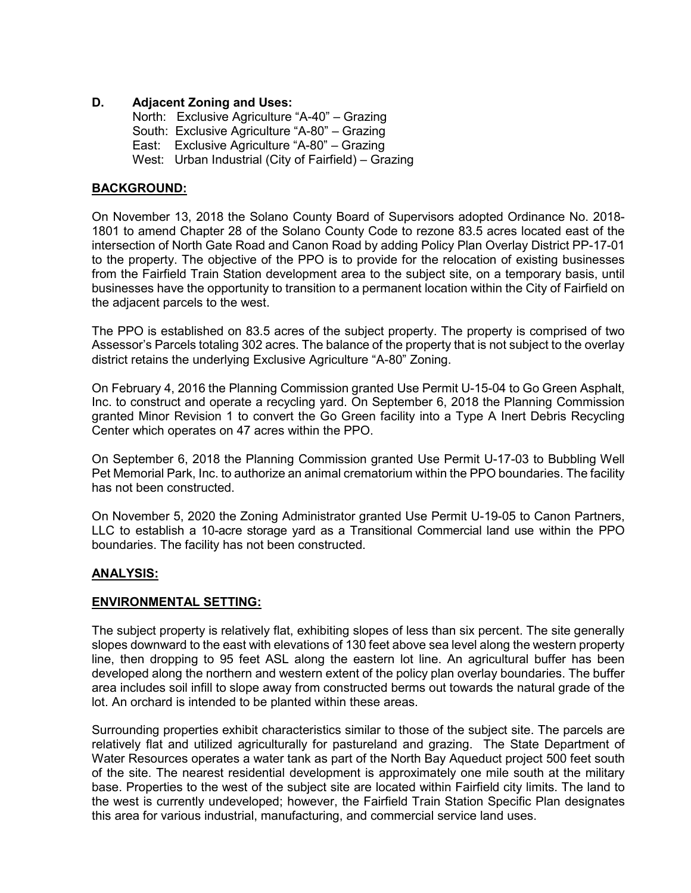### **D. Adjacent Zoning and Uses:**

North: Exclusive Agriculture "A-40" – Grazing South: Exclusive Agriculture "A-80" – Grazing East: Exclusive Agriculture "A-80" – Grazing West: Urban Industrial (City of Fairfield) – Grazing

### **BACKGROUND:**

On November 13, 2018 the Solano County Board of Supervisors adopted Ordinance No. 2018- 1801 to amend Chapter 28 of the Solano County Code to rezone 83.5 acres located east of the intersection of North Gate Road and Canon Road by adding Policy Plan Overlay District PP-17-01 to the property. The objective of the PPO is to provide for the relocation of existing businesses from the Fairfield Train Station development area to the subject site, on a temporary basis, until businesses have the opportunity to transition to a permanent location within the City of Fairfield on the adjacent parcels to the west.

The PPO is established on 83.5 acres of the subject property. The property is comprised of two Assessor's Parcels totaling 302 acres. The balance of the property that is not subject to the overlay district retains the underlying Exclusive Agriculture "A-80" Zoning.

On February 4, 2016 the Planning Commission granted Use Permit U-15-04 to Go Green Asphalt, Inc. to construct and operate a recycling yard. On September 6, 2018 the Planning Commission granted Minor Revision 1 to convert the Go Green facility into a Type A Inert Debris Recycling Center which operates on 47 acres within the PPO.

On September 6, 2018 the Planning Commission granted Use Permit U-17-03 to Bubbling Well Pet Memorial Park, Inc. to authorize an animal crematorium within the PPO boundaries. The facility has not been constructed.

On November 5, 2020 the Zoning Administrator granted Use Permit U-19-05 to Canon Partners, LLC to establish a 10-acre storage yard as a Transitional Commercial land use within the PPO boundaries. The facility has not been constructed.

### **ANALYSIS:**

### **ENVIRONMENTAL SETTING:**

The subject property is relatively flat, exhibiting slopes of less than six percent. The site generally slopes downward to the east with elevations of 130 feet above sea level along the western property line, then dropping to 95 feet ASL along the eastern lot line. An agricultural buffer has been developed along the northern and western extent of the policy plan overlay boundaries. The buffer area includes soil infill to slope away from constructed berms out towards the natural grade of the lot. An orchard is intended to be planted within these areas.

Surrounding properties exhibit characteristics similar to those of the subject site. The parcels are relatively flat and utilized agriculturally for pastureland and grazing. The State Department of Water Resources operates a water tank as part of the North Bay Aqueduct project 500 feet south of the site. The nearest residential development is approximately one mile south at the military base. Properties to the west of the subject site are located within Fairfield city limits. The land to the west is currently undeveloped; however, the Fairfield Train Station Specific Plan designates this area for various industrial, manufacturing, and commercial service land uses.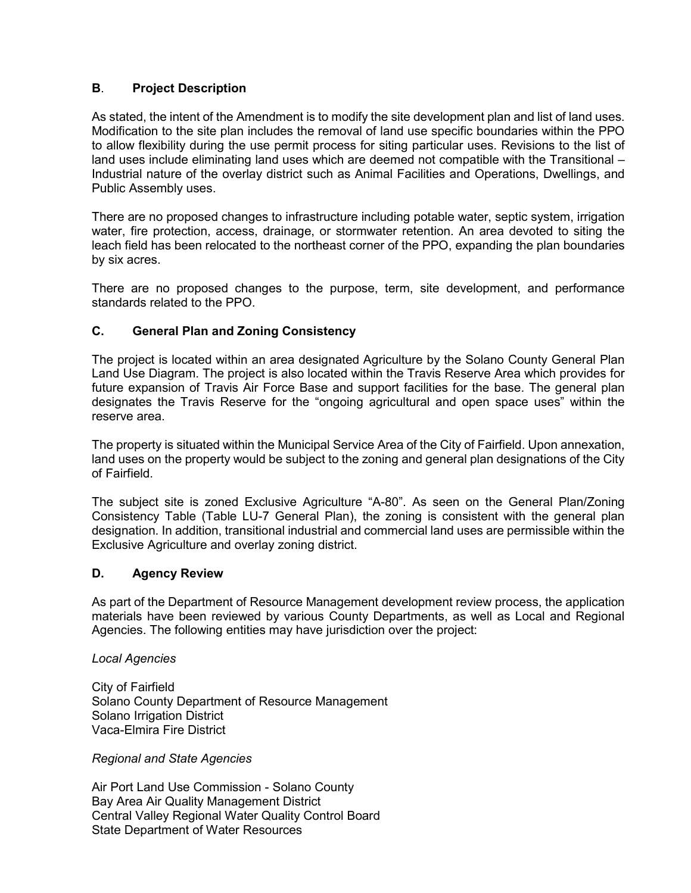### **B**. **Project Description**

As stated, the intent of the Amendment is to modify the site development plan and list of land uses. Modification to the site plan includes the removal of land use specific boundaries within the PPO to allow flexibility during the use permit process for siting particular uses. Revisions to the list of land uses include eliminating land uses which are deemed not compatible with the Transitional – Industrial nature of the overlay district such as Animal Facilities and Operations, Dwellings, and Public Assembly uses.

There are no proposed changes to infrastructure including potable water, septic system, irrigation water, fire protection, access, drainage, or stormwater retention. An area devoted to siting the leach field has been relocated to the northeast corner of the PPO, expanding the plan boundaries by six acres.

There are no proposed changes to the purpose, term, site development, and performance standards related to the PPO.

### **C. General Plan and Zoning Consistency**

The project is located within an area designated Agriculture by the Solano County General Plan Land Use Diagram. The project is also located within the Travis Reserve Area which provides for future expansion of Travis Air Force Base and support facilities for the base. The general plan designates the Travis Reserve for the "ongoing agricultural and open space uses" within the reserve area.

The property is situated within the Municipal Service Area of the City of Fairfield. Upon annexation, land uses on the property would be subject to the zoning and general plan designations of the City of Fairfield.

The subject site is zoned Exclusive Agriculture "A-80". As seen on the General Plan/Zoning Consistency Table (Table LU-7 General Plan), the zoning is consistent with the general plan designation. In addition, transitional industrial and commercial land uses are permissible within the Exclusive Agriculture and overlay zoning district.

### **D. Agency Review**

As part of the Department of Resource Management development review process, the application materials have been reviewed by various County Departments, as well as Local and Regional Agencies. The following entities may have jurisdiction over the project:

*Local Agencies*

City of Fairfield Solano County Department of Resource Management Solano Irrigation District Vaca-Elmira Fire District

*Regional and State Agencies*

Air Port Land Use Commission - Solano County Bay Area Air Quality Management District Central Valley Regional Water Quality Control Board State Department of Water Resources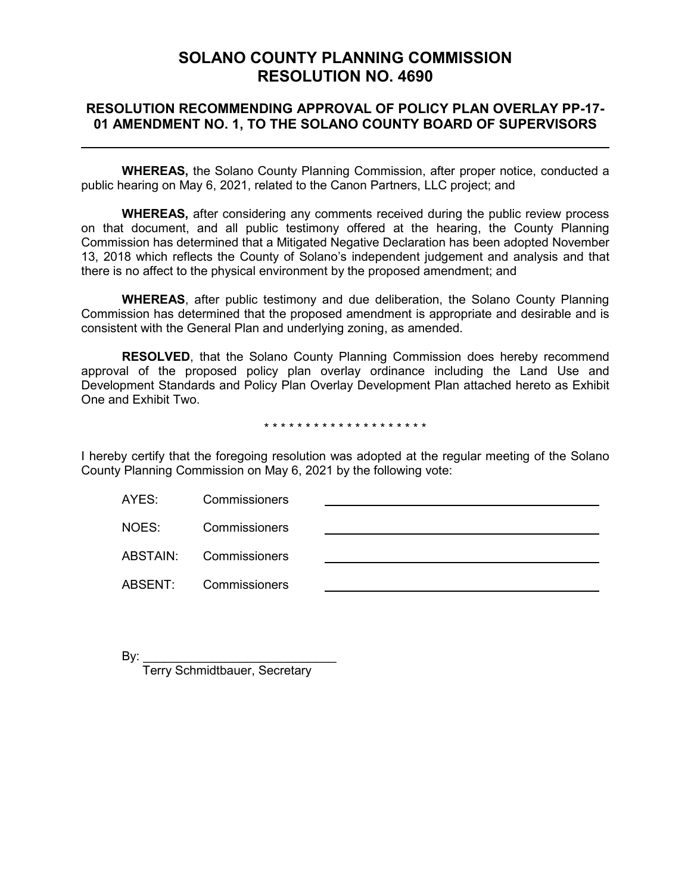# **SOLANO COUNTY PLANNING COMMISSION RESOLUTION NO. 4690**

## **RESOLUTION RECOMMENDING APPROVAL OF POLICY PLAN OVERLAY PP-17- 01 AMENDMENT NO. 1, TO THE SOLANO COUNTY BOARD OF SUPERVISORS**

**WHEREAS,** the Solano County Planning Commission, after proper notice, conducted a public hearing on May 6, 2021, related to the Canon Partners, LLC project; and

**WHEREAS,** after considering any comments received during the public review process on that document, and all public testimony offered at the hearing, the County Planning Commission has determined that a Mitigated Negative Declaration has been adopted November 13, 2018 which reflects the County of Solano's independent judgement and analysis and that there is no affect to the physical environment by the proposed amendment; and

**WHEREAS**, after public testimony and due deliberation, the Solano County Planning Commission has determined that the proposed amendment is appropriate and desirable and is consistent with the General Plan and underlying zoning, as amended.

**RESOLVED**, that the Solano County Planning Commission does hereby recommend approval of the proposed policy plan overlay ordinance including the Land Use and Development Standards and Policy Plan Overlay Development Plan attached hereto as Exhibit One and Exhibit Two.

#### \* \* \* \* \* \* \* \* \* \* \* \* \* \* \* \* \* \* \* \*

I hereby certify that the foregoing resolution was adopted at the regular meeting of the Solano County Planning Commission on May 6, 2021 by the following vote:

| AYES: | Commissioners          |  |
|-------|------------------------|--|
| NOES: | <b>Commissioners</b>   |  |
|       | ABSTAIN: Commissioners |  |
|       | ABSENT: Commissioners  |  |
|       |                        |  |

By: \_\_\_\_\_\_\_\_\_\_\_\_\_\_\_\_\_\_\_\_\_\_\_\_\_\_\_\_

Terry Schmidtbauer, Secretary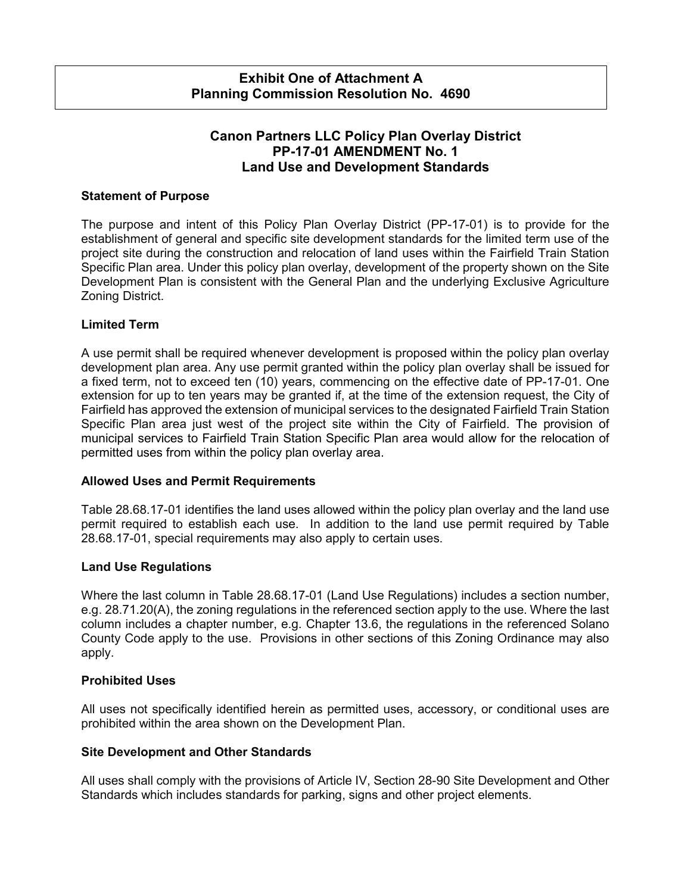## **Exhibit One of Attachment A Planning Commission Resolution No. 4690**

# **Canon Partners LLC Policy Plan Overlay District PP-17-01 AMENDMENT No. 1 Land Use and Development Standards**

### **Statement of Purpose**

The purpose and intent of this Policy Plan Overlay District (PP-17-01) is to provide for the establishment of general and specific site development standards for the limited term use of the project site during the construction and relocation of land uses within the Fairfield Train Station Specific Plan area. Under this policy plan overlay, development of the property shown on the Site Development Plan is consistent with the General Plan and the underlying Exclusive Agriculture Zoning District.

### **Limited Term**

A use permit shall be required whenever development is proposed within the policy plan overlay development plan area. Any use permit granted within the policy plan overlay shall be issued for a fixed term, not to exceed ten (10) years, commencing on the effective date of PP-17-01. One extension for up to ten years may be granted if, at the time of the extension request, the City of Fairfield has approved the extension of municipal services to the designated Fairfield Train Station Specific Plan area just west of the project site within the City of Fairfield. The provision of municipal services to Fairfield Train Station Specific Plan area would allow for the relocation of permitted uses from within the policy plan overlay area.

### **Allowed Uses and Permit Requirements**

Table 28.68.17-01 identifies the land uses allowed within the policy plan overlay and the land use permit required to establish each use. In addition to the land use permit required by Table 28.68.17-01, special requirements may also apply to certain uses.

### **Land Use Regulations**

Where the last column in Table 28.68.17-01 (Land Use Regulations) includes a section number, e.g. 28.71.20(A), the zoning regulations in the referenced section apply to the use. Where the last column includes a chapter number, e.g. Chapter 13.6, the regulations in the referenced Solano County Code apply to the use. Provisions in other sections of this Zoning Ordinance may also apply.

### **Prohibited Uses**

All uses not specifically identified herein as permitted uses, accessory, or conditional uses are prohibited within the area shown on the Development Plan.

### **Site Development and Other Standards**

All uses shall comply with the provisions of Article IV, Section 28-90 Site Development and Other Standards which includes standards for parking, signs and other project elements.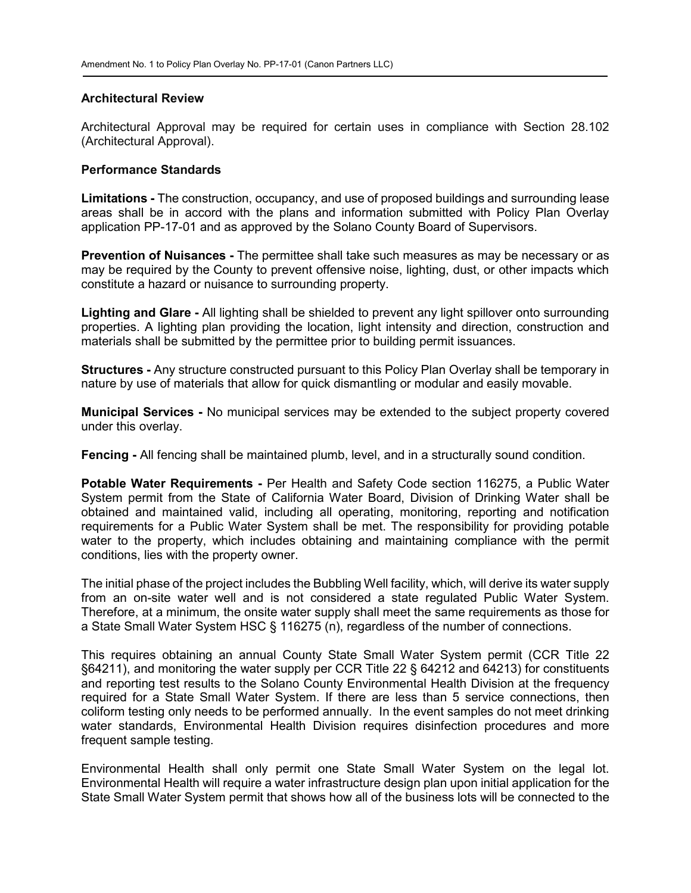#### **Architectural Review**

Architectural Approval may be required for certain uses in compliance with Section 28.102 (Architectural Approval).

#### **Performance Standards**

**Limitations -** The construction, occupancy, and use of proposed buildings and surrounding lease areas shall be in accord with the plans and information submitted with Policy Plan Overlay application PP-17-01 and as approved by the Solano County Board of Supervisors.

**Prevention of Nuisances -** The permittee shall take such measures as may be necessary or as may be required by the County to prevent offensive noise, lighting, dust, or other impacts which constitute a hazard or nuisance to surrounding property.

**Lighting and Glare -** All lighting shall be shielded to prevent any light spillover onto surrounding properties. A lighting plan providing the location, light intensity and direction, construction and materials shall be submitted by the permittee prior to building permit issuances.

**Structures -** Any structure constructed pursuant to this Policy Plan Overlay shall be temporary in nature by use of materials that allow for quick dismantling or modular and easily movable.

**Municipal Services -** No municipal services may be extended to the subject property covered under this overlay.

**Fencing -** All fencing shall be maintained plumb, level, and in a structurally sound condition.

**Potable Water Requirements -** Per Health and Safety Code section 116275, a Public Water System permit from the State of California Water Board, Division of Drinking Water shall be obtained and maintained valid, including all operating, monitoring, reporting and notification requirements for a Public Water System shall be met. The responsibility for providing potable water to the property, which includes obtaining and maintaining compliance with the permit conditions, lies with the property owner.

The initial phase of the project includes the Bubbling Well facility, which, will derive its water supply from an on-site water well and is not considered a state regulated Public Water System. Therefore, at a minimum, the onsite water supply shall meet the same requirements as those for a State Small Water System HSC § 116275 (n), regardless of the number of connections.

This requires obtaining an annual County State Small Water System permit (CCR Title 22 §64211), and monitoring the water supply per CCR Title 22 § 64212 and 64213) for constituents and reporting test results to the Solano County Environmental Health Division at the frequency required for a State Small Water System. If there are less than 5 service connections, then coliform testing only needs to be performed annually. In the event samples do not meet drinking water standards, Environmental Health Division requires disinfection procedures and more frequent sample testing.

Environmental Health shall only permit one State Small Water System on the legal lot. Environmental Health will require a water infrastructure design plan upon initial application for the State Small Water System permit that shows how all of the business lots will be connected to the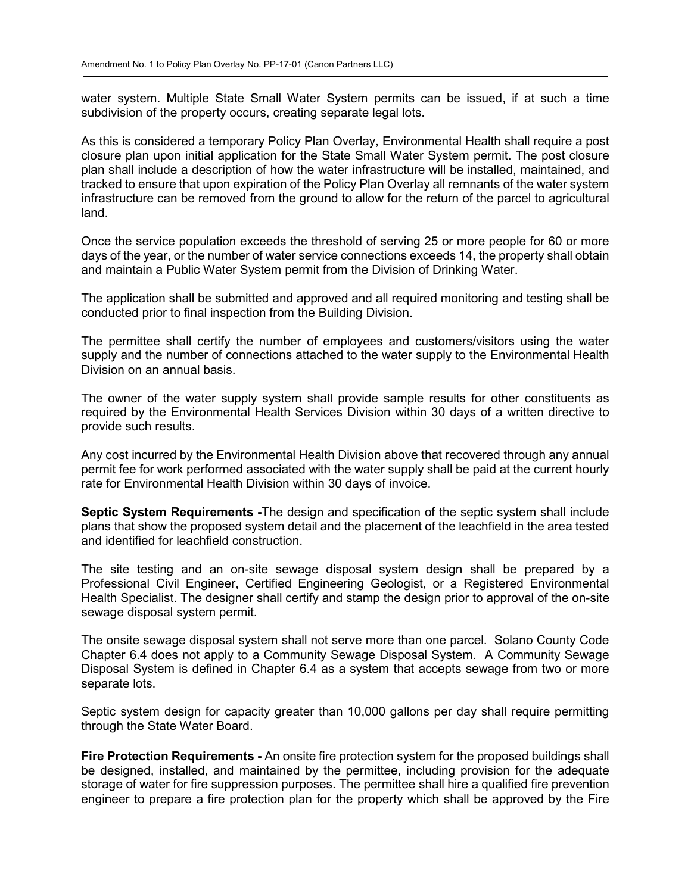water system. Multiple State Small Water System permits can be issued, if at such a time subdivision of the property occurs, creating separate legal lots.

As this is considered a temporary Policy Plan Overlay, Environmental Health shall require a post closure plan upon initial application for the State Small Water System permit. The post closure plan shall include a description of how the water infrastructure will be installed, maintained, and tracked to ensure that upon expiration of the Policy Plan Overlay all remnants of the water system infrastructure can be removed from the ground to allow for the return of the parcel to agricultural land.

Once the service population exceeds the threshold of serving 25 or more people for 60 or more days of the year, or the number of water service connections exceeds 14, the property shall obtain and maintain a Public Water System permit from the Division of Drinking Water.

The application shall be submitted and approved and all required monitoring and testing shall be conducted prior to final inspection from the Building Division.

The permittee shall certify the number of employees and customers/visitors using the water supply and the number of connections attached to the water supply to the Environmental Health Division on an annual basis.

The owner of the water supply system shall provide sample results for other constituents as required by the Environmental Health Services Division within 30 days of a written directive to provide such results.

Any cost incurred by the Environmental Health Division above that recovered through any annual permit fee for work performed associated with the water supply shall be paid at the current hourly rate for Environmental Health Division within 30 days of invoice.

**Septic System Requirements -**The design and specification of the septic system shall include plans that show the proposed system detail and the placement of the leachfield in the area tested and identified for leachfield construction.

The site testing and an on-site sewage disposal system design shall be prepared by a Professional Civil Engineer, Certified Engineering Geologist, or a Registered Environmental Health Specialist. The designer shall certify and stamp the design prior to approval of the on-site sewage disposal system permit.

The onsite sewage disposal system shall not serve more than one parcel. Solano County Code Chapter 6.4 does not apply to a Community Sewage Disposal System. A Community Sewage Disposal System is defined in Chapter 6.4 as a system that accepts sewage from two or more separate lots.

Septic system design for capacity greater than 10,000 gallons per day shall require permitting through the State Water Board.

**Fire Protection Requirements -** An onsite fire protection system for the proposed buildings shall be designed, installed, and maintained by the permittee, including provision for the adequate storage of water for fire suppression purposes. The permittee shall hire a qualified fire prevention engineer to prepare a fire protection plan for the property which shall be approved by the Fire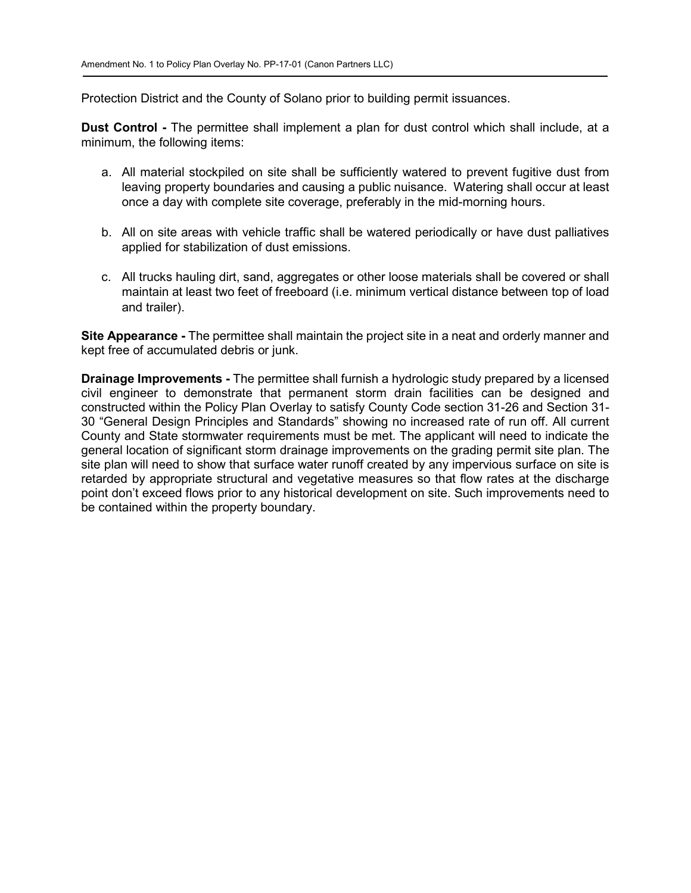Protection District and the County of Solano prior to building permit issuances.

**Dust Control -** The permittee shall implement a plan for dust control which shall include, at a minimum, the following items:

- a. All material stockpiled on site shall be sufficiently watered to prevent fugitive dust from leaving property boundaries and causing a public nuisance. Watering shall occur at least once a day with complete site coverage, preferably in the mid-morning hours.
- b. All on site areas with vehicle traffic shall be watered periodically or have dust palliatives applied for stabilization of dust emissions.
- c. All trucks hauling dirt, sand, aggregates or other loose materials shall be covered or shall maintain at least two feet of freeboard (i.e. minimum vertical distance between top of load and trailer).

**Site Appearance -** The permittee shall maintain the project site in a neat and orderly manner and kept free of accumulated debris or junk.

**Drainage Improvements -** The permittee shall furnish a hydrologic study prepared by a licensed civil engineer to demonstrate that permanent storm drain facilities can be designed and constructed within the Policy Plan Overlay to satisfy County Code section 31-26 and Section 31- 30 "General Design Principles and Standards" showing no increased rate of run off. All current County and State stormwater requirements must be met. The applicant will need to indicate the general location of significant storm drainage improvements on the grading permit site plan. The site plan will need to show that surface water runoff created by any impervious surface on site is retarded by appropriate structural and vegetative measures so that flow rates at the discharge point don't exceed flows prior to any historical development on site. Such improvements need to be contained within the property boundary.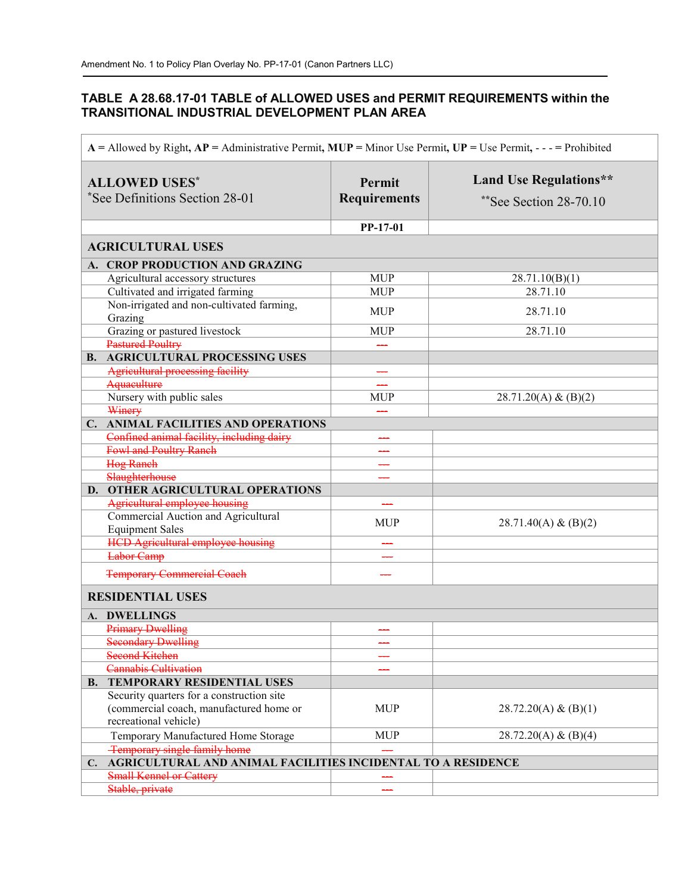## **TABLE A 28.68.17-01 TABLE of ALLOWED USES and PERMIT REQUIREMENTS within the TRANSITIONAL INDUSTRIAL DEVELOPMENT PLAN AREA**

| $A =$ Allowed by Right, $AP =$ Administrative Permit, $MUP =$ Minor Use Permit, $UP =$ Use Permit, - - - = Prohibited |                                                              |                               |                                                         |
|-----------------------------------------------------------------------------------------------------------------------|--------------------------------------------------------------|-------------------------------|---------------------------------------------------------|
| <b>ALLOWED USES*</b><br>See Definitions Section 28-01 <sup>*</sup>                                                    |                                                              | Permit<br><b>Requirements</b> | <b>Land Use Regulations**</b><br>**See Section 28-70.10 |
|                                                                                                                       |                                                              | PP-17-01                      |                                                         |
|                                                                                                                       | <b>AGRICULTURAL USES</b>                                     |                               |                                                         |
|                                                                                                                       | A. CROP PRODUCTION AND GRAZING                               |                               |                                                         |
|                                                                                                                       | Agricultural accessory structures                            | <b>MUP</b>                    | 28.71.10(B)(1)                                          |
|                                                                                                                       | Cultivated and irrigated farming                             | <b>MUP</b>                    | 28.71.10                                                |
|                                                                                                                       | Non-irrigated and non-cultivated farming,                    |                               |                                                         |
|                                                                                                                       | Grazing                                                      | <b>MUP</b>                    | 28.71.10                                                |
|                                                                                                                       | Grazing or pastured livestock                                | <b>MUP</b>                    | 28.71.10                                                |
|                                                                                                                       | Pastured Poultry                                             |                               |                                                         |
|                                                                                                                       | <b>B. AGRICULTURAL PROCESSING USES</b>                       |                               |                                                         |
|                                                                                                                       | <b>Agricultural processing facility</b>                      |                               |                                                         |
|                                                                                                                       | Aquaculture                                                  |                               |                                                         |
|                                                                                                                       | Nursery with public sales                                    | <b>MUP</b>                    | $28.71.20(A) \& (B)(2)$                                 |
|                                                                                                                       | Winery                                                       |                               |                                                         |
|                                                                                                                       | C. ANIMAL FACILITIES AND OPERATIONS                          |                               |                                                         |
|                                                                                                                       | Confined animal facility, including dairy                    |                               |                                                         |
|                                                                                                                       | <b>Fowl and Poultry Ranch</b>                                |                               |                                                         |
|                                                                                                                       | <b>Hog Ranch</b><br>Slaughterhouse                           |                               |                                                         |
|                                                                                                                       | D. OTHER AGRICULTURAL OPERATIONS                             |                               |                                                         |
|                                                                                                                       | Agricultural employee housing                                |                               |                                                         |
|                                                                                                                       | Commercial Auction and Agricultural                          |                               |                                                         |
|                                                                                                                       | <b>Equipment Sales</b>                                       | <b>MUP</b>                    | $28.71.40(A) \& (B)(2)$                                 |
|                                                                                                                       | <b>HCD Agricultural employee housing</b>                     |                               |                                                         |
|                                                                                                                       | <b>Labor</b> Camp                                            |                               |                                                         |
|                                                                                                                       |                                                              |                               |                                                         |
|                                                                                                                       | <b>Temporary Commercial Coach</b>                            |                               |                                                         |
|                                                                                                                       | <b>RESIDENTIAL USES</b>                                      |                               |                                                         |
|                                                                                                                       | A. DWELLINGS                                                 |                               |                                                         |
|                                                                                                                       | <b>Primary Dwelling</b>                                      |                               |                                                         |
|                                                                                                                       | <b>Secondary Dwelling</b>                                    |                               |                                                         |
|                                                                                                                       | <b>Second Kitchen</b>                                        |                               |                                                         |
|                                                                                                                       | <b>Cannabis Cultivation</b>                                  |                               |                                                         |
| <b>B.</b>                                                                                                             | <b>TEMPORARY RESIDENTIAL USES</b>                            |                               |                                                         |
|                                                                                                                       | Security quarters for a construction site                    |                               |                                                         |
|                                                                                                                       | (commercial coach, manufactured home or                      | <b>MUP</b>                    | 28.72.20(A) & (B)(1)                                    |
|                                                                                                                       | recreational vehicle)                                        |                               |                                                         |
|                                                                                                                       | Temporary Manufactured Home Storage                          | <b>MUP</b>                    | 28.72.20(A) & (B)(4)                                    |
|                                                                                                                       | Temporary single family home                                 |                               |                                                         |
| $C_{\bullet}$                                                                                                         | AGRICULTURAL AND ANIMAL FACILITIES INCIDENTAL TO A RESIDENCE |                               |                                                         |
|                                                                                                                       | <b>Small Kennel or Cattery</b>                               |                               |                                                         |
|                                                                                                                       | Stable, private                                              |                               |                                                         |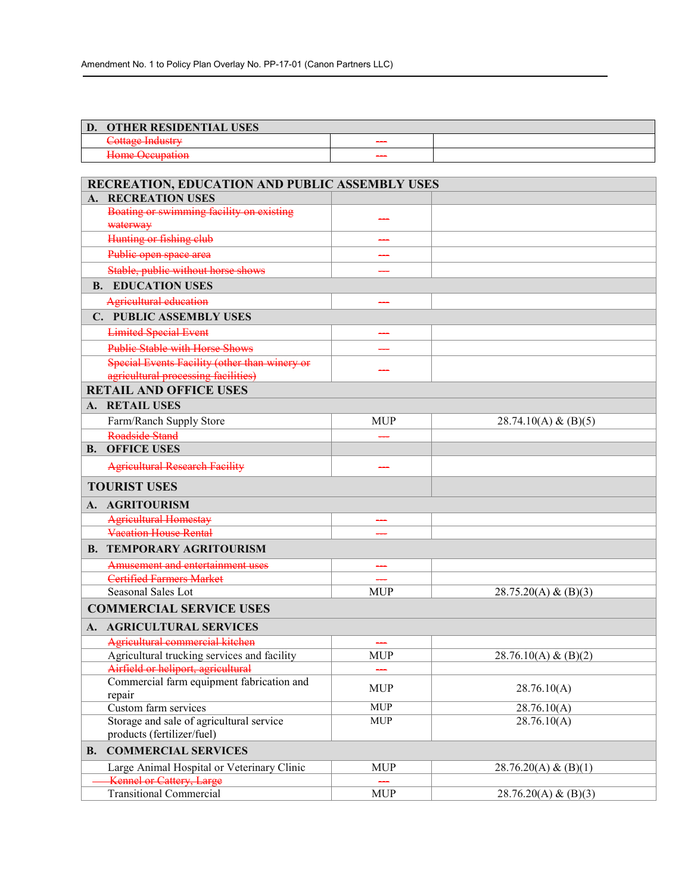| <b>OTHER RESIDENTIAL USES</b><br>D.                    |                          |  |
|--------------------------------------------------------|--------------------------|--|
| <u>Lattage Industry</u><br><del>Comazo munistr</del> y |                          |  |
| Hame Occupation<br><del>nome occupanon</del>           | $\overline{\phantom{a}}$ |  |

|    | RECREATION, EDUCATION AND PUBLIC ASSEMBLY USES       |            |                      |  |
|----|------------------------------------------------------|------------|----------------------|--|
|    | <b>RECREATION USES</b>                               |            |                      |  |
|    | Boating or swimming facility on existing<br>waterway |            |                      |  |
|    | Hunting or fishing club                              |            |                      |  |
|    | Public open space area                               |            |                      |  |
|    | Stable, public without horse shows                   |            |                      |  |
|    | <b>B. EDUCATION USES</b>                             |            |                      |  |
|    | Agricultural education                               |            |                      |  |
|    | C. PUBLIC ASSEMBLY USES                              |            |                      |  |
|    | <b>Limited Special Event</b>                         |            |                      |  |
|    | <b>Public Stable with Horse Shows</b>                |            |                      |  |
|    | Special Events Facility (other than winery or        |            |                      |  |
|    | agricultural processing facilities)                  |            |                      |  |
|    | <b>RETAIL AND OFFICE USES</b>                        |            |                      |  |
|    | A. RETAIL USES                                       |            |                      |  |
|    | Farm/Ranch Supply Store                              | <b>MUP</b> | 28.74.10(A) & (B)(5) |  |
|    | Roadside Stand                                       |            |                      |  |
|    | <b>B. OFFICE USES</b>                                |            |                      |  |
|    | <b>Agricultural Research Facility</b>                |            |                      |  |
|    | <b>TOURIST USES</b>                                  |            |                      |  |
|    | A. AGRITOURISM                                       |            |                      |  |
|    | <b>Agricultural Homestay</b>                         |            |                      |  |
|    | <b>Vacation House Rental</b>                         |            |                      |  |
|    | <b>B. TEMPORARY AGRITOURISM</b>                      |            |                      |  |
|    | Amusement and entertainment uses                     |            |                      |  |
|    | <b>Certified Farmers Market</b>                      |            |                      |  |
|    | Seasonal Sales Lot                                   | <b>MUP</b> | 28.75.20(A) & (B)(3) |  |
|    | <b>COMMERCIAL SERVICE USES</b>                       |            |                      |  |
|    | A. AGRICULTURAL SERVICES                             |            |                      |  |
|    | Agricultural commercial kitchen                      |            |                      |  |
|    | Agricultural trucking services and facility          | <b>MUP</b> | 28.76.10(A) & (B)(2) |  |
|    | Airfield or heliport, agricultural                   |            |                      |  |
|    | Commercial farm equipment fabrication and<br>repair  | <b>MUP</b> | 28.76.10(A)          |  |
|    | Custom farm services                                 | <b>MUP</b> | 28.76.10(A)          |  |
|    | Storage and sale of agricultural service             | <b>MUP</b> | 28.76.10(A)          |  |
|    | products (fertilizer/fuel)                           |            |                      |  |
| В. | <b>COMMERCIAL SERVICES</b>                           |            |                      |  |
|    | Large Animal Hospital or Veterinary Clinic           | <b>MUP</b> | 28.76.20(A) & (B)(1) |  |
|    | <b>Kennel or Cattery, Large</b>                      |            |                      |  |
|    | <b>Transitional Commercial</b>                       | <b>MUP</b> | 28.76.20(A) & (B)(3) |  |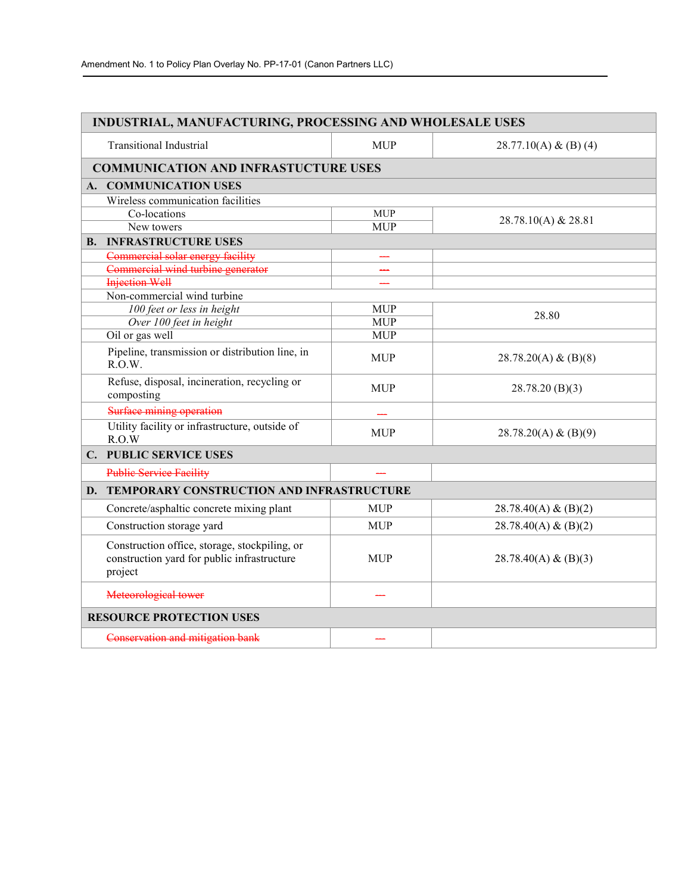| <b>INDUSTRIAL, MANUFACTURING, PROCESSING AND WHOLESALE USES</b>                                         |                                             |                       |  |  |
|---------------------------------------------------------------------------------------------------------|---------------------------------------------|-----------------------|--|--|
| <b>Transitional Industrial</b>                                                                          | <b>MUP</b>                                  | 28.77.10(A) & (B) (4) |  |  |
|                                                                                                         | <b>COMMUNICATION AND INFRASTUCTURE USES</b> |                       |  |  |
| A. COMMUNICATION USES                                                                                   |                                             |                       |  |  |
| Wireless communication facilities                                                                       |                                             |                       |  |  |
| Co-locations                                                                                            | <b>MUP</b>                                  | 28.78.10(A) & 28.81   |  |  |
| New towers                                                                                              | <b>MUP</b>                                  |                       |  |  |
| <b>B. INFRASTRUCTURE USES</b>                                                                           |                                             |                       |  |  |
| Commercial solar energy facility                                                                        |                                             |                       |  |  |
| Commercial wind turbine generator                                                                       |                                             |                       |  |  |
| <b>Injection Well</b>                                                                                   |                                             |                       |  |  |
| Non-commercial wind turbine                                                                             |                                             |                       |  |  |
| 100 feet or less in height                                                                              | <b>MUP</b>                                  | 28.80                 |  |  |
| Over 100 feet in height                                                                                 | <b>MUP</b>                                  |                       |  |  |
| Oil or gas well                                                                                         | <b>MUP</b>                                  |                       |  |  |
| Pipeline, transmission or distribution line, in<br>R.O.W.                                               | <b>MUP</b>                                  | 28.78.20(A) & (B)(8)  |  |  |
| Refuse, disposal, incineration, recycling or<br>composting                                              | <b>MUP</b>                                  | 28.78.20(B)(3)        |  |  |
| Surface mining operation                                                                                |                                             |                       |  |  |
| Utility facility or infrastructure, outside of<br>R.O.W                                                 | <b>MUP</b>                                  | 28.78.20(A) & (B)(9)  |  |  |
| <b>C. PUBLIC SERVICE USES</b>                                                                           |                                             |                       |  |  |
| <b>Public Service Facility</b>                                                                          |                                             |                       |  |  |
| D. TEMPORARY CONSTRUCTION AND INFRASTRUCTURE                                                            |                                             |                       |  |  |
| Concrete/asphaltic concrete mixing plant                                                                | <b>MUP</b>                                  | 28.78.40(A) & (B)(2)  |  |  |
| Construction storage yard                                                                               | <b>MUP</b>                                  | 28.78.40(A) & (B)(2)  |  |  |
| Construction office, storage, stockpiling, or<br>construction yard for public infrastructure<br>project | <b>MUP</b>                                  | 28.78.40(A) & (B)(3)  |  |  |
| Meteorological tower                                                                                    |                                             |                       |  |  |
| <b>RESOURCE PROTECTION USES</b>                                                                         |                                             |                       |  |  |
| Conservation and mitigation bank                                                                        |                                             |                       |  |  |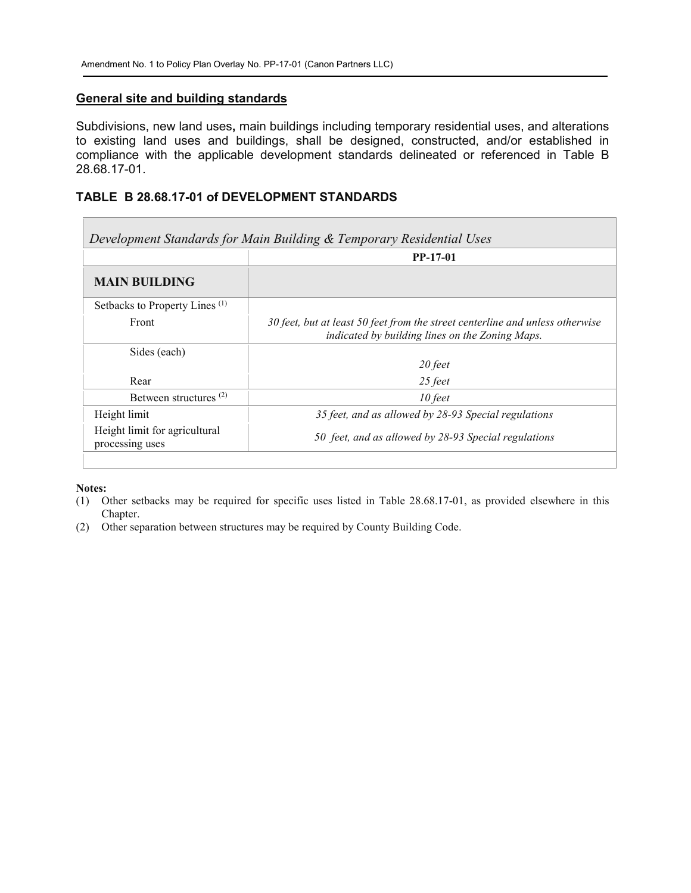#### **General site and building standards**

Subdivisions, new land uses**,** main buildings including temporary residential uses, and alterations to existing land uses and buildings, shall be designed, constructed, and/or established in compliance with the applicable development standards delineated or referenced in Table B 28.68.17-01.

### **TABLE B 28.68.17-01 of DEVELOPMENT STANDARDS**

| Development Standards for Main Building & Temporary Residential Uses |                                                                                                                                  |  |
|----------------------------------------------------------------------|----------------------------------------------------------------------------------------------------------------------------------|--|
|                                                                      | <b>PP-17-01</b>                                                                                                                  |  |
| <b>MAIN BUILDING</b>                                                 |                                                                                                                                  |  |
| Setbacks to Property Lines <sup>(1)</sup>                            |                                                                                                                                  |  |
| Front                                                                | 30 feet, but at least 50 feet from the street centerline and unless otherwise<br>indicated by building lines on the Zoning Maps. |  |
| Sides (each)                                                         | 20 feet                                                                                                                          |  |
| Rear                                                                 | 25 feet                                                                                                                          |  |
| Between structures <sup>(2)</sup>                                    | $10$ feet                                                                                                                        |  |
| Height limit                                                         | 35 feet, and as allowed by 28-93 Special regulations                                                                             |  |
| Height limit for agricultural<br>processing uses                     | 50 feet, and as allowed by 28-93 Special regulations                                                                             |  |

#### **Notes:**

 $\sim$ 

(1) Other setbacks may be required for specific uses listed in Table 28.68.17-01, as provided elsewhere in this Chapter.

(2) Other separation between structures may be required by County Building Code.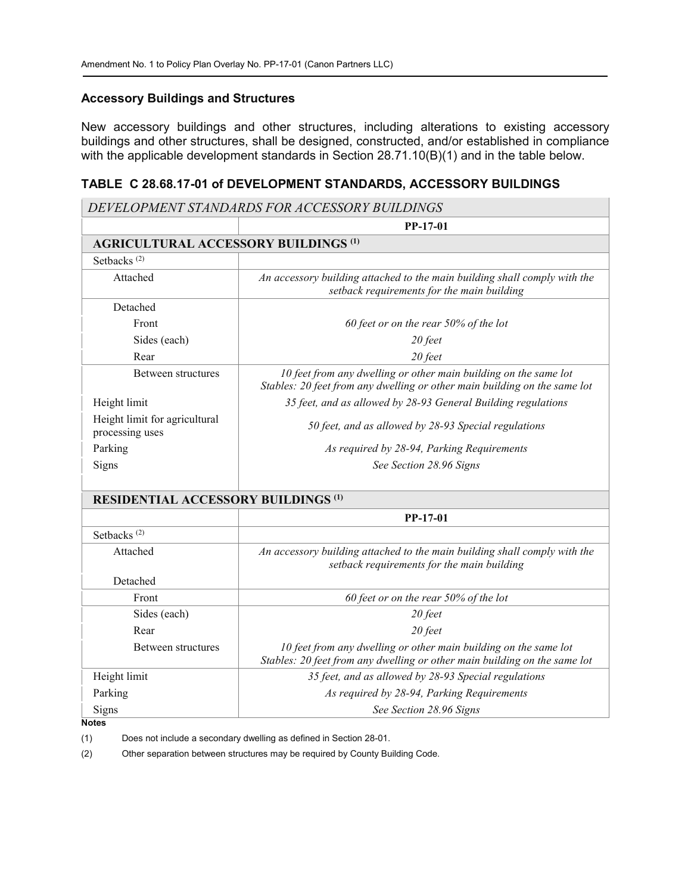#### **Accessory Buildings and Structures**

New accessory buildings and other structures, including alterations to existing accessory buildings and other structures, shall be designed, constructed, and/or established in compliance with the applicable development standards in Section 28.71.10(B)(1) and in the table below.

### **TABLE C 28.68.17-01 of DEVELOPMENT STANDARDS, ACCESSORY BUILDINGS**

|                                                  | DEVELOPMENT STANDARDS FOR ACCESSORY BUILDINGS                                                                                                 |
|--------------------------------------------------|-----------------------------------------------------------------------------------------------------------------------------------------------|
|                                                  | <b>PP-17-01</b>                                                                                                                               |
| <b>AGRICULTURAL ACCESSORY BUILDINGS (1)</b>      |                                                                                                                                               |
| Setbacks <sup>(2)</sup>                          |                                                                                                                                               |
| Attached                                         | An accessory building attached to the main building shall comply with the<br>setback requirements for the main building                       |
| Detached                                         |                                                                                                                                               |
| Front                                            | 60 feet or on the rear $50\%$ of the lot                                                                                                      |
| Sides (each)                                     | 20 feet                                                                                                                                       |
| Rear                                             | 20 feet                                                                                                                                       |
| Between structures                               | 10 feet from any dwelling or other main building on the same lot<br>Stables: 20 feet from any dwelling or other main building on the same lot |
| Height limit                                     | 35 feet, and as allowed by 28-93 General Building regulations                                                                                 |
| Height limit for agricultural<br>processing uses | 50 feet, and as allowed by 28-93 Special regulations                                                                                          |
| Parking                                          | As required by 28-94, Parking Requirements                                                                                                    |
| Signs                                            | See Section 28.96 Signs                                                                                                                       |
| <b>RESIDENTIAL ACCESSORY BUILDINGS (1)</b>       |                                                                                                                                               |
|                                                  | PP-17-01                                                                                                                                      |
| Setbacks <sup>(2)</sup>                          |                                                                                                                                               |
| Attached                                         | An accessory building attached to the main building shall comply with the<br>setback requirements for the main building                       |
| Detached                                         |                                                                                                                                               |
| Front                                            | 60 feet or on the rear 50% of the lot                                                                                                         |
| Sides (each)                                     | 20 feet                                                                                                                                       |
| Rear                                             | 20 feet                                                                                                                                       |
| Between structures                               | 10 feet from any dwelling or other main building on the same lot<br>Stables: 20 feet from any dwelling or other main building on the same lot |
| Height limit                                     | 35 feet, and as allowed by 28-93 Special regulations                                                                                          |
| Parking                                          | As required by 28-94, Parking Requirements                                                                                                    |
| Signs                                            | See Section 28.96 Signs                                                                                                                       |
| Notes                                            |                                                                                                                                               |

(1) Does not include a secondary dwelling as defined in Section 28-01.

(2) Other separation between structures may be required by County Building Code.